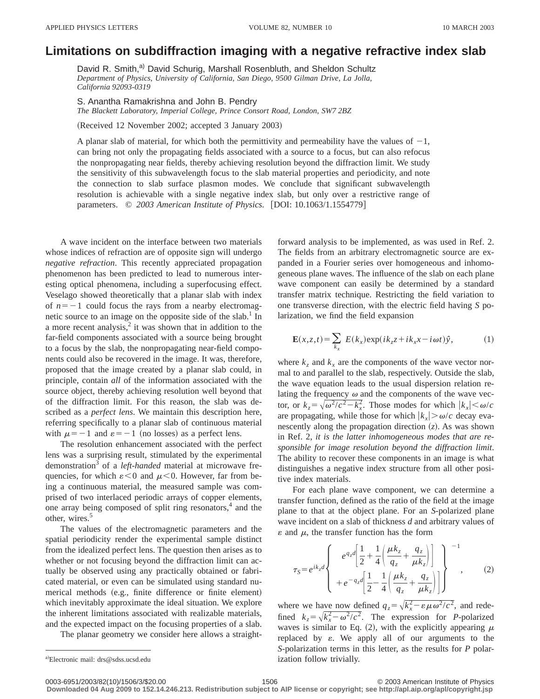## **Limitations on subdiffraction imaging with a negative refractive index slab**

David R. Smith,<sup>a)</sup> David Schurig, Marshall Rosenbluth, and Sheldon Schultz *Department of Physics, University of California, San Diego, 9500 Gilman Drive, La Jolla, California 92093-0319*

S. Anantha Ramakrishna and John B. Pendry

*The Blackett Laboratory, Imperial College, Prince Consort Road, London, SW7 2BZ*

(Received 12 November 2002; accepted 3 January 2003)

A planar slab of material, for which both the permittivity and permeability have the values of  $-1$ , can bring not only the propagating fields associated with a source to a focus, but can also refocus the nonpropagating near fields, thereby achieving resolution beyond the diffraction limit. We study the sensitivity of this subwavelength focus to the slab material properties and periodicity, and note the connection to slab surface plasmon modes. We conclude that significant subwavelength resolution is achievable with a single negative index slab, but only over a restrictive range of parameters.  $\odot$  2003 American Institute of Physics. [DOI: 10.1063/1.1554779]

A wave incident on the interface between two materials whose indices of refraction are of opposite sign will undergo *negative refraction*. This recently appreciated propagation phenomenon has been predicted to lead to numerous interesting optical phenomena, including a superfocusing effect. Veselago showed theoretically that a planar slab with index of  $n=-1$  could focus the rays from a nearby electromagnetic source to an image on the opposite side of the slab.<sup>1</sup> In a more recent analysis, $\frac{2}{3}$  it was shown that in addition to the far-field components associated with a source being brought to a focus by the slab, the nonpropagating near-field components could also be recovered in the image. It was, therefore, proposed that the image created by a planar slab could, in principle, contain *all* of the information associated with the source object, thereby achieving resolution well beyond that of the diffraction limit. For this reason, the slab was described as a *perfect lens*. We maintain this description here, referring specifically to a planar slab of continuous material with  $\mu=-1$  and  $\varepsilon=-1$  (no losses) as a perfect lens.

The resolution enhancement associated with the perfect lens was a surprising result, stimulated by the experimental demonstration3 of a *left-handed* material at microwave frequencies, for which  $\varepsilon < 0$  and  $\mu < 0$ . However, far from being a continuous material, the measured sample was comprised of two interlaced periodic arrays of copper elements, one array being composed of split ring resonators, $4$  and the other, wires.<sup>5</sup>

The values of the electromagnetic parameters and the spatial periodicity render the experimental sample distinct from the idealized perfect lens. The question then arises as to whether or not focusing beyond the diffraction limit can actually be observed using any practically obtained or fabricated material, or even can be simulated using standard numerical methods (e.g., finite difference or finite element) which inevitably approximate the ideal situation. We explore the inherent limitations associated with realizable materials, and the expected impact on the focusing properties of a slab.

The planar geometry we consider here allows a straight-

a)Electronic mail: drs@sdss.ucsd.edu ization follow trivially.

forward analysis to be implemented, as was used in Ref. 2. The fields from an arbitrary electromagnetic source are expanded in a Fourier series over homogeneous and inhomogeneous plane waves. The influence of the slab on each plane wave component can easily be determined by a standard transfer matrix technique. Restricting the field variation to one transverse direction, with the electric field having *S* polarization, we find the field expansion

$$
\mathbf{E}(x,z,t) = \sum_{k_x} E(k_x) \exp(ik_z z + ik_x x - i\omega t) \hat{y}, \qquad (1)
$$

where  $k_z$  and  $k_x$  are the components of the wave vector normal to and parallel to the slab, respectively. Outside the slab, the wave equation leads to the usual dispersion relation relating the frequency  $\omega$  and the components of the wave vector, or  $k_z = \sqrt{\omega^2/c^2 - k_x^2}$ . Those modes for which  $|k_x| < \omega/c$ are propagating, while those for which  $|k_x| > \omega/c$  decay evanescently along the propagation direction  $(z)$ . As was shown in Ref. 2, *it is the latter inhomogeneous modes that are responsible for image resolution beyond the diffraction limit*. The ability to recover these components in an image is what distinguishes a negative index structure from all other positive index materials.

For each plane wave component, we can determine a transfer function, defined as the ratio of the field at the image plane to that at the object plane. For an *S*-polarized plane wave incident on a slab of thickness *d* and arbitrary values of  $\varepsilon$  and  $\mu$ , the transfer function has the form

$$
\tau_{S} = e^{ik_{z}d} \left\{ \begin{array}{c} e^{q_{z}d} \left[ \frac{1}{2} + \frac{1}{4} \left( \frac{\mu k_{z}}{q_{z}} + \frac{q_{z}}{\mu k_{z}} \right) \right] \\ + e^{-q_{z}d} \left[ \frac{1}{2} - \frac{1}{4} \left( \frac{\mu k_{z}}{q_{z}} + \frac{q_{z}}{\mu k_{z}} \right) \right] \end{array} \right\}^{-1}, \qquad (2)
$$

where we have now defined  $q_z = \sqrt{k_x^2 - \varepsilon \mu \omega^2/c^2}$ , and redefined  $k_z = \sqrt{k_x^2 - \omega^2/c^2}$ . The expression for *P*-polarized waves is similar to Eq. (2), with the explicitly appearing  $\mu$ replaced by  $\varepsilon$ . We apply all of our arguments to the *S*-polarization terms in this letter, as the results for *P* polar-

**Downloaded 04 Aug 2009 to 152.14.246.213. Redistribution subject to AIP license or copyright; see http://apl.aip.org/apl/copyright.jsp**

<sup>0003-6951/2003/82(10)/1506/3/\$20.00 © 2003</sup> American Institute of Physics 1506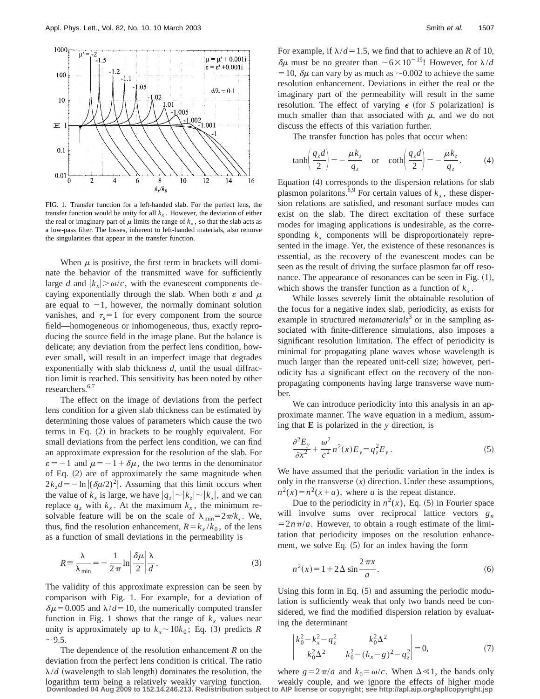

FIG. 1. Transfer function for a left-handed slab. For the perfect lens, the transfer function would be unity for all  $k<sub>x</sub>$ . However, the deviation of either the real or imaginary part of  $\mu$  limits the range of  $k_x$ , so that the slab acts as a low-pass filter. The losses, inherent to left-handed materials, also remove the singularities that appear in the transfer function.

When  $\mu$  is positive, the first term in brackets will dominate the behavior of the transmitted wave for sufficiently large *d* and  $|k_x| > \omega/c$ , with the evanescent components decaying exponentially through the slab. When both  $\varepsilon$  and  $\mu$ are equal to  $-1$ , however, the normally dominant solution vanishes, and  $\tau_s = 1$  for every component from the source field—homogeneous or inhomogeneous, thus, exactly reproducing the source field in the image plane. But the balance is delicate; any deviation from the perfect lens condition, however small, will result in an imperfect image that degrades exponentially with slab thickness *d*, until the usual diffraction limit is reached. This sensitivity has been noted by other researchers.<sup>6,7</sup>

The effect on the image of deviations from the perfect lens condition for a given slab thickness can be estimated by determining those values of parameters which cause the two terms in Eq.  $(2)$  in brackets to be roughly equivalent. For small deviations from the perfect lens condition, we can find an approximate expression for the resolution of the slab. For  $\varepsilon = -1$  and  $\mu = -1 + \delta \mu$ , the two terms in the denominator of Eq.  $(2)$  are of approximately the same magnitude when  $2k_zd = -\ln |(\delta \mu/2)^2|$ . Assuming that this limit occurs when the value of  $k_x$  is large, we have  $|q_z| \sim |k_z| \sim |k_x|$ , and we can replace  $q_z$  with  $k_x$ . At the maximum  $k_x$ , the minimum resolvable feature will be on the scale of  $\lambda_{\min} = 2\pi/k_x$ . We, thus, find the resolution enhancement,  $R = k_x / k_0$ , of the lens as a function of small deviations in the permeability is

$$
R = \frac{\lambda}{\lambda_{\min}} = -\frac{1}{2\pi} \ln \left| \frac{\delta \mu}{2} \right| \frac{\lambda}{d}.
$$
 (3)

The validity of this approximate expression can be seen by comparison with Fig. 1. For example, for a deviation of  $\delta\mu$ =0.005 and  $\lambda$ /*d*=10, the numerically computed transfer function in Fig. 1 shows that the range of  $k<sub>x</sub>$  values near unity is approximately up to  $k_x \sim 10k_0$ ; Eq. (3) predicts *R*  $\sim$  9.5.

The dependence of the resolution enhancement *R* on the deviation from the perfect lens condition is critical. The ratio  $\lambda/d$  (wavelength to slab length) dominates the resolution, the logarithm term being a relatively weakly varying function.

For example, if  $\lambda/d=1.5$ , we find that to achieve an *R* of 10,  $\delta\mu$  must be no greater than  $\sim 6\times10^{-19}$ ! However, for  $\lambda/d$ = 10,  $\delta \mu$  can vary by as much as  $\sim$  0.002 to achieve the same resolution enhancement. Deviations in either the real or the imaginary part of the permeability will result in the same resolution. The effect of varying  $\epsilon$  (for *S* polarization) is much smaller than that associated with  $\mu$ , and we do not discuss the effects of this variation further.

The transfer function has poles that occur when:

$$
\tanh\left(\frac{q_z d}{2}\right) = -\frac{\mu k_z}{q_z} \quad \text{or} \quad \coth\left(\frac{q_z d}{2}\right) = -\frac{\mu k_z}{q_z}.\tag{4}
$$

Equation  $(4)$  corresponds to the dispersion relations for slab plasmon polaritons.<sup>8,9</sup> For certain values of  $k_x$ , these dispersion relations are satisfied, and resonant surface modes can exist on the slab. The direct excitation of these surface modes for imaging applications is undesirable, as the corresponding  $k_x$  components will be disproportionately represented in the image. Yet, the existence of these resonances is essential, as the recovery of the evanescent modes can be seen as the result of driving the surface plasmon far off resonance. The appearance of resonances can be seen in Fig.  $(1)$ , which shows the transfer function as a function of  $k_x$ .

While losses severely limit the obtainable resolution of the focus for a negative index slab, periodicity, as exists for example in structured *metamaterials*<sup>3</sup> or in the sampling associated with finite-difference simulations, also imposes a significant resolution limitation. The effect of periodicity is minimal for propagating plane waves whose wavelength is much larger than the repeated unit-cell size; however, periodicity has a significant effect on the recovery of the nonpropagating components having large transverse wave number.

We can introduce periodicity into this analysis in an approximate manner. The wave equation in a medium, assuming that **E** is polarized in the *y* direction, is

$$
\frac{\partial^2 E_y}{\partial x^2} + \frac{\omega^2}{c^2} n^2(x) E_y = q_z^2 E_y.
$$
 (5)

We have assumed that the periodic variation in the index is only in the transverse  $(x)$  direction. Under these assumptions,  $n^2(x) = n^2(x+a)$ , where *a* is the repeat distance.

Due to the periodicity in  $n^2(x)$ , Eq. (5) in Fourier space will involve sums over reciprocal lattice vectors  $g_n$  $=2n\pi/a$ . However, to obtain a rough estimate of the limitation that periodicity imposes on the resolution enhancement, we solve Eq.  $(5)$  for an index having the form

$$
n^2(x) = 1 + 2\Delta \sin \frac{2\pi x}{a}.
$$
 (6)

Using this form in Eq.  $(5)$  and assuming the periodic modulation is sufficiently weak that only two bands need be considered, we find the modified dispersion relation by evaluating the determinant

$$
\begin{vmatrix} k_0^2 - k_x^2 - q_z^2 & k_0^2 \Delta^2 \\ k_0^2 \Delta^2 & k_0^2 - (k_x - g)^2 - q_z^2 \end{vmatrix} = 0,
$$
 (7)

where  $g=2\pi/a$  and  $k_0=\omega/c$ . When  $\Delta \ll 1$ , the bands only weakly couple, and we ignore the effects of higher mode **Downloaded 04 Aug 2009 to 152.14.246.213. Redistribution subject to AIP license or copyright; see http://apl.aip.org/apl/copyright.jsp**